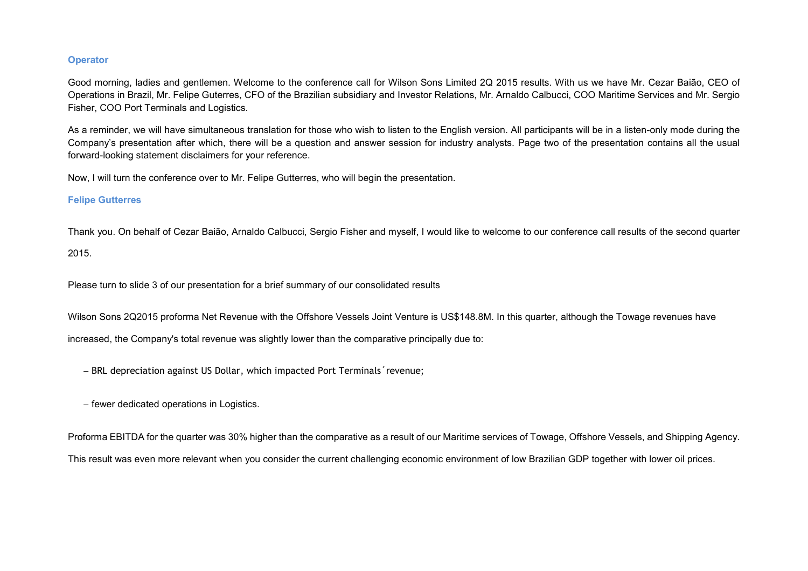#### **Operator**

Good morning, ladies and gentlemen. Welcome to the conference call for Wilson Sons Limited 2Q 2015 results. With us we have Mr. Cezar Baião, CEO of Operations in Brazil, Mr. Felipe Guterres, CFO of the Brazilian subsidiary and Investor Relations, Mr. Arnaldo Calbucci, COO Maritime Services and Mr. Sergio Fisher, COO Port Terminals and Logistics.

As a reminder, we will have simultaneous translation for those who wish to listen to the English version. All participants will be in a listen-only mode during the Company's presentation after which, there will be a question and answer session for industry analysts. Page two of the presentation contains all the usual forward-looking statement disclaimers for your reference.

Now, I will turn the conference over to Mr. Felipe Gutterres, who will begin the presentation.

#### Felipe Gutterres

Thank you. On behalf of Cezar Baião, Arnaldo Calbucci, Sergio Fisher and myself, I would like to welcome to our conference call results of the second quarter 2015.

Please turn to slide 3 of our presentation for a brief summary of our consolidated results

Wilson Sons 2Q2015 proforma Net Revenue with the Offshore Vessels Joint Venture is US\$148.8M. In this quarter, although the Towage revenues have increased, the Company's total revenue was slightly lower than the comparative principally due to:

− BRL depreciation against US Dollar, which impacted Port Terminals´revenue;

− fewer dedicated operations in Logistics.

Proforma EBITDA for the quarter was 30% higher than the comparative as a result of our Maritime services of Towage, Offshore Vessels, and Shipping Agency. This result was even more relevant when you consider the current challenging economic environment of low Brazilian GDP together with lower oil prices.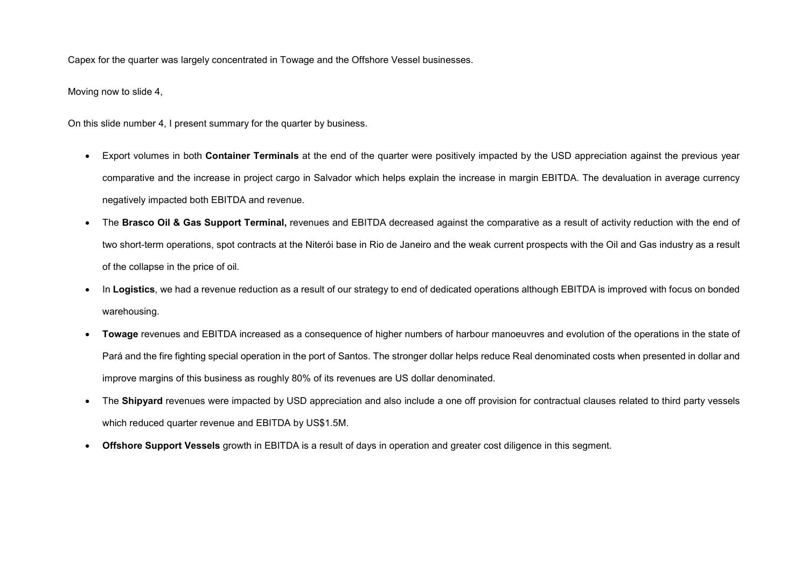Capex for the quarter was largely concentrated in Towage and the Offshore Vessel businesses.

Moving now to slide 4,

On this slide number 4, I present summary for the quarter by business.

- Export volumes in both **Container Terminals** at the end of the quarter were positively impacted by the USD appreciation against the previous year comparative and the increase in project cargo in Salvador which helps explain the increase in margin EBITDA. The devaluation in average currency negatively impacted both EBITDA and revenue.
- The Brasco Oil & Gas Support Terminal, revenues and EBITDA decreased against the comparative as a result of activity reduction with the end of two short-term operations, spot contracts at the Niterói base in Rio de Janeiro and the weak current prospects with the Oil and Gas industry as a result of the collapse in the price of oil.
- In Logistics, we had a revenue reduction as a result of our strategy to end of dedicated operations although EBITDA is improved with focus on bonded warehousing.
- Towage revenues and EBITDA increased as a consequence of higher numbers of harbour manoeuvres and evolution of the operations in the state of Pará and the fire fighting special operation in the port of Santos. The stronger dollar helps reduce Real denominated costs when presented in dollar and improve margins of this business as roughly 80% of its revenues are US dollar denominated.
- The Shipyard revenues were impacted by USD appreciation and also include a one off provision for contractual clauses related to third party vessels which reduced quarter revenue and EBITDA by US\$1.5M.
- •Offshore Support Vessels growth in EBITDA is a result of days in operation and greater cost diligence in this segment.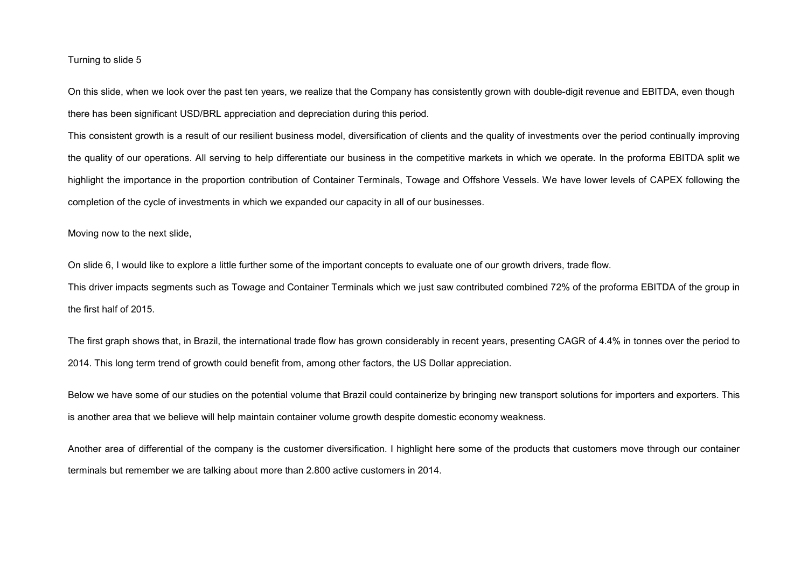#### Turning to slide 5

On this slide, when we look over the past ten years, we realize that the Company has consistently grown with double-digit revenue and EBITDA, even thoughthere has been significant USD/BRL appreciation and depreciation during this period.

This consistent growth is a result of our resilient business model, diversification of clients and the quality of investments over the period continually improving the quality of our operations. All serving to help differentiate our business in the competitive markets in which we operate. In the proforma EBITDA split we highlight the importance in the proportion contribution of Container Terminals, Towage and Offshore Vessels. We have lower levels of CAPEX following the completion of the cycle of investments in which we expanded our capacity in all of our businesses.

Moving now to the next slide,

On slide 6, I would like to explore a little further some of the important concepts to evaluate one of our growth drivers, trade flow. This driver impacts segments such as Towage and Container Terminals which we just saw contributed combined 72% of the proforma EBITDA of the group in the first half of 2015.

The first graph shows that, in Brazil, the international trade flow has grown considerably in recent years, presenting CAGR of 4.4% in tonnes over the period to 2014. This long term trend of growth could benefit from, among other factors, the US Dollar appreciation.

Below we have some of our studies on the potential volume that Brazil could containerize by bringing new transport solutions for importers and exporters. This is another area that we believe will help maintain container volume growth despite domestic economy weakness.

Another area of differential of the company is the customer diversification. I highlight here some of the products that customers move through our container terminals but remember we are talking about more than 2.800 active customers in 2014.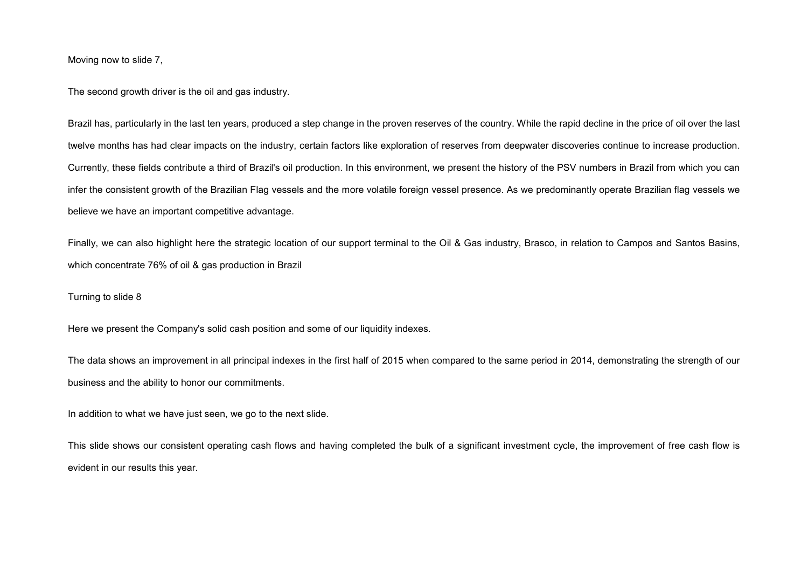Moving now to slide 7,

The second growth driver is the oil and gas industry.

Brazil has, particularly in the last ten years, produced a step change in the proven reserves of the country. While the rapid decline in the price of oil over the last twelve months has had clear impacts on the industry, certain factors like exploration of reserves from deepwater discoveries continue to increase production. Currently, these fields contribute a third of Brazil's oil production. In this environment, we present the history of the PSV numbers in Brazil from which you can infer the consistent growth of the Brazilian Flag vessels and the more volatile foreign vessel presence. As we predominantly operate Brazilian flag vessels we believe we have an important competitive advantage.

Finally, we can also highlight here the strategic location of our support terminal to the Oil & Gas industry, Brasco, in relation to Campos and Santos Basins, which concentrate 76% of oil & gas production in Brazil

Turning to slide 8

Here we present the Company's solid cash position and some of our liquidity indexes.

The data shows an improvement in all principal indexes in the first half of 2015 when compared to the same period in 2014, demonstrating the strength of our business and the ability to honor our commitments.

In addition to what we have just seen, we go to the next slide.

This slide shows our consistent operating cash flows and having completed the bulk of a significant investment cycle, the improvement of free cash flow is evident in our results this year.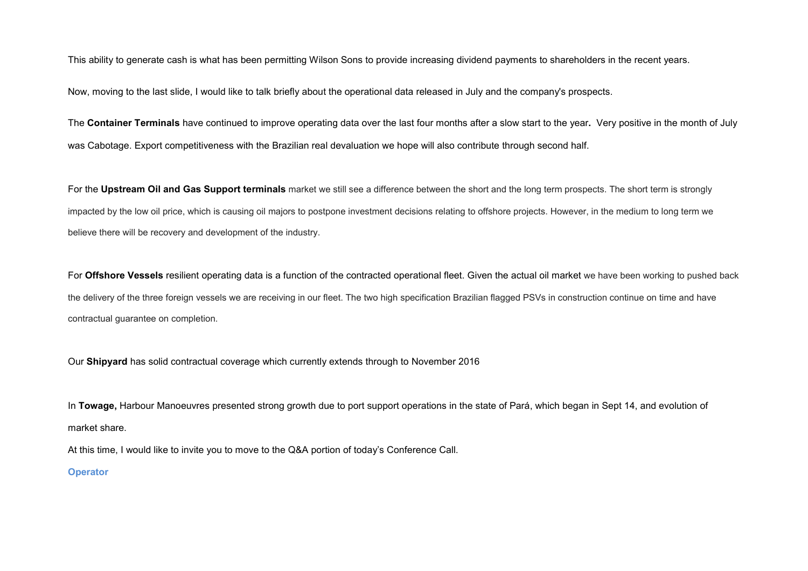This ability to generate cash is what has been permitting Wilson Sons to provide increasing dividend payments to shareholders in the recent years.

Now, moving to the last slide, I would like to talk briefly about the operational data released in July and the company's prospects.

The Container Terminals have continued to improve operating data over the last four months after a slow start to the year. Very positive in the month of July was Cabotage. Export competitiveness with the Brazilian real devaluation we hope will also contribute through second half.

For the Upstream Oil and Gas Support terminals market we still see a difference between the short and the long term prospects. The short term is strongly impacted by the low oil price, which is causing oil majors to postpone investment decisions relating to offshore projects. However, in the medium to long term we believe there will be recovery and development of the industry.

For Offshore Vessels resilient operating data is a function of the contracted operational fleet. Given the actual oil market we have been working to pushed back the delivery of the three foreign vessels we are receiving in our fleet. The two high specification Brazilian flagged PSVs in construction continue on time and have contractual guarantee on completion.

Our Shipyard has solid contractual coverage which currently extends through to November 2016

In Towage, Harbour Manoeuvres presented strong growth due to port support operations in the state of Pará, which began in Sept 14, and evolution of market share.

At this time, I would like to invite you to move to the Q&A portion of today's Conference Call.

#### **Operator**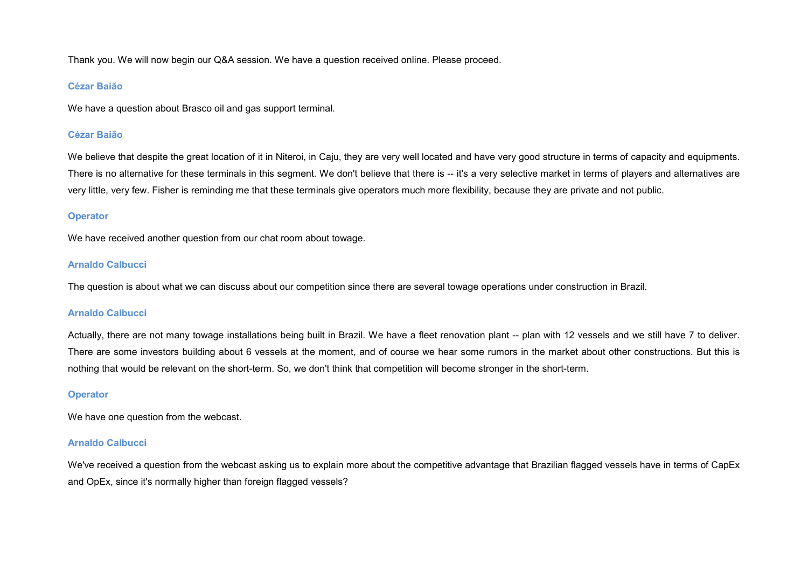Thank you. We will now begin our Q&A session. We have a question received online. Please proceed.

### Cézar Baião

We have a question about Brasco oil and gas support terminal.

### Cézar Baião

We believe that despite the great location of it in Niteroi, in Caju, they are very well located and have very good structure in terms of capacity and equipments. There is no alternative for these terminals in this segment. We don't believe that there is -- it's a very selective market in terms of players and alternatives are very little, very few. Fisher is reminding me that these terminals give operators much more flexibility, because they are private and not public.

### **Operator**

We have received another question from our chat room about towage.

#### Arnaldo Calbucci

The question is about what we can discuss about our competition since there are several towage operations under construction in Brazil.

### Arnaldo Calbucci

Actually, there are not many towage installations being built in Brazil. We have a fleet renovation plant -- plan with 12 vessels and we still have 7 to deliver. There are some investors building about 6 vessels at the moment, and of course we hear some rumors in the market about other constructions. But this is nothing that would be relevant on the short-term. So, we don't think that competition will become stronger in the short-term.

### **Operator**

We have one question from the webcast.

#### Arnaldo Calbucci

We've received a question from the webcast asking us to explain more about the competitive advantage that Brazilian flagged vessels have in terms of CapEx and OpEx, since it's normally higher than foreign flagged vessels?